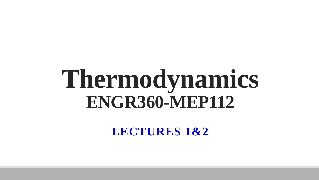# **Thermodynamics ENGR360-MEP112**

**LECTURES 1&2**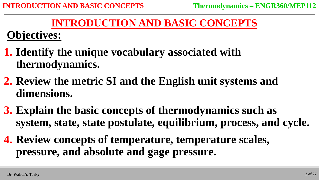# **INTRODUCTION AND BASIC CONCEPTS**

# **Objectives:**

- **1. Identify the unique vocabulary associated with thermodynamics.**
- **2. Review the metric SI and the English unit systems and dimensions.**
- **3. Explain the basic concepts of thermodynamics such as system, state, state postulate, equilibrium, process, and cycle.**
- **4. Review concepts of temperature, temperature scales, pressure, and absolute and gage pressure.**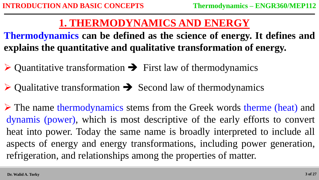# **1. THERMODYNAMICS AND ENERGY**

**Thermodynamics can be defined as the science of energy. It defines and explains the quantitative and qualitative transformation of energy.**

- $\triangleright$  Quantitative transformation  $\rightarrow$  First law of thermodynamics
- $\triangleright$  Qualitative transformation  $\rightarrow$  Second law of thermodynamics

 $\triangleright$  The name thermodynamics stems from the Greek words therme (heat) and dynamis (power), which is most descriptive of the early efforts to convert heat into power. Today the same name is broadly interpreted to include all aspects of energy and energy transformations, including power generation, refrigeration, and relationships among the properties of matter.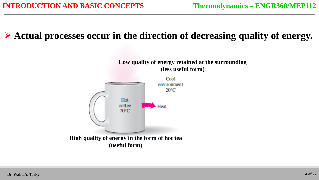# **Actual processes occur in the direction of decreasing quality of energy.**

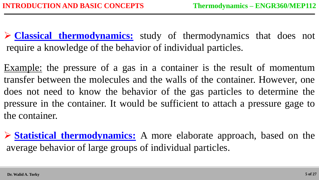**Classical thermodynamics:** study of thermodynamics that does not require a knowledge of the behavior of individual particles.

Example: the pressure of a gas in a container is the result of momentum transfer between the molecules and the walls of the container. However, one does not need to know the behavior of the gas particles to determine the pressure in the container. It would be sufficient to attach a pressure gage to the container.

 **Statistical thermodynamics:** A more elaborate approach, based on the average behavior of large groups of individual particles.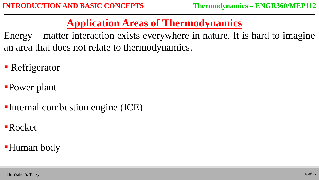# **Application Areas of Thermodynamics**

Energy – matter interaction exists everywhere in nature. It is hard to imagine an area that does not relate to thermodynamics.

- Refrigerator
- Power plant
- Internal combustion engine (ICE)
- Rocket
- Human body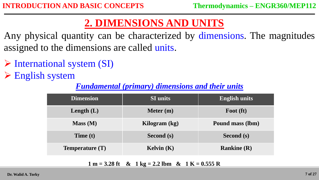# **2. DIMENSIONS AND UNITS**

Any physical quantity can be characterized by dimensions. The magnitudes assigned to the dimensions are called units.

 $\triangleright$  International system (SI)

**English system** 

#### *Fundamental (primary) dimensions and their units*

| <b>Dimension</b> | <b>SI</b> units | <b>English units</b> |
|------------------|-----------------|----------------------|
| Length $(L)$     | Meter $(m)$     | Foot (ft)            |
| Mass (M)         | Kilogram (kg)   | Pound mass (lbm)     |
| Time $(t)$       | Second (s)      | Second (s)           |
| Temperature (T)  | Kelvin $(K)$    | Rankine $(R)$        |

**1 m = 3.28 ft & 1 kg = 2.2 lbm & 1 K = 0.555 R**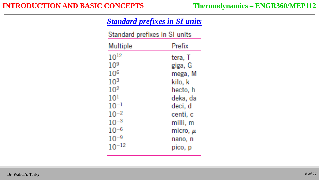#### **INTRODUCTION AND BASIC CONCEPTS Thermodynamics – ENGR360/MEP112**

| <b>Standard prefixes in SI units</b> |
|--------------------------------------|
|--------------------------------------|

| Standard prefixes in SI units |              |
|-------------------------------|--------------|
| Multiple                      | Prefix       |
| $10^{12}$                     | tera, T      |
| 10 <sup>9</sup>               | giga, G      |
| $10^{6}$                      | mega, M      |
| $10^{3}$                      | kilo, k      |
| $10^{2}$                      | hecto, h     |
| 101                           | deka, da     |
| $10^{-1}$                     | deci, d      |
| $10^{-2}$                     | centi, c     |
| $10^{-3}$                     | milli, m     |
| $10^{-6}$                     | micro, $\mu$ |
| $10^{-9}$                     | nano, n      |
| $^{-12}$                      | pico, p      |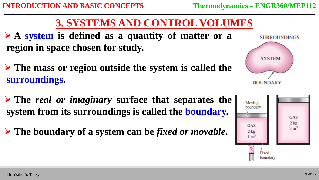# **3. SYSTEMS AND CONTROL VOLUMES**

 **A system is defined as a quantity of matter or a region in space chosen for study.**

- **The mass or region outside the system is called the surroundings.**
- **The** *real or imaginary* **surface that separates the system from its surroundings is called the boundary.**
- **The boundary of a system can be** *fixed or movable***.**



**SURROUNDINGS** 

**SYSTEM** 

**ROUNDARY**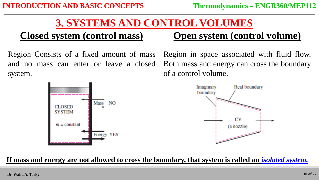# **3. SYSTEMS AND CONTROL VOLUMES**

# **Closed system (control mass)**

Region Consists of a fixed amount of mass and no mass can enter or leave a closed system.

**Open system (control volume)**

Region in space associated with fluid flow. Both mass and energy can cross the boundary of a control volume.



#### **If mass and energy are not allowed to cross the boundary, that system is called an** *isolated system.*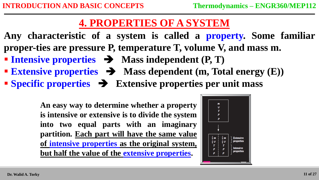# **4. PROPERTIES OF A SYSTEM**

- **Any characteristic of a system is called a property. Some familiar proper-ties are pressure P, temperature T, volume V, and mass m.**
- **Intensive properties**  $\rightarrow$  **Mass independent (P, T)**
- **Extensive properties**  $\rightarrow$  **Mass dependent (m, Total energy (E))**
- **Specific properties Extensive properties per unit mass**

**An easy way to determine whether a property is intensive or extensive is to divide the system into two equal parts with an imaginary partition. Each part will have the same value of intensive properties as the original system, but half the value of the extensive properties.**

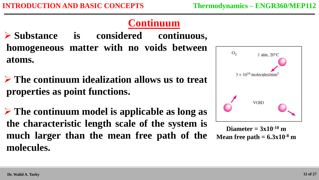# **Continuum**

- **Substance is considered continuous, homogeneous matter with no voids between atoms.**
- **The continuum idealization allows us to treat properties as point functions.**
- **The continuum model is applicable as long as the characteristic length scale of the system is much larger than the mean free path of the molecules.**



**Diameter** =  $3x10^{-10}$  **m Mean free path = 6.3x10-8 m**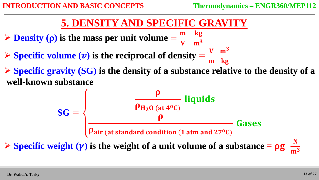## **5. DENSITY AND SPECIFIC GRAVITY**

- $\triangleright$  **Density** ( $\rho$ ) is the mass per unit volume =  $\overline{\mathbf{m}}$  $\boldsymbol{\mathrm{V}}$ kg  $\mathbf{m}^3$
- $\triangleright$  **Specific volume**  $(\nu)$  is the reciprocal of density =  $\boldsymbol{\mathrm{V}}$  $\overline{\mathbf{m}}$  $m<sup>3</sup>$ kg
- **Specific gravity (SG) is the density of a substance relative to the density of a well-known substance**

$$
SG = \begin{cases} \n\frac{\rho}{\rho_{H_2O \text{ (at 4°C)}}} \text{ liquids} \\ \n\frac{\rho}{\rho_{air \text{ (at standard condition (1 atm and 27°C)}})} \text{Gases} \n\end{cases}
$$

 $\triangleright$  **Specific** weight  $(\gamma)$  is the weight of a unit volume of a substance =  $\rho g$  $\mathbf{m}^3$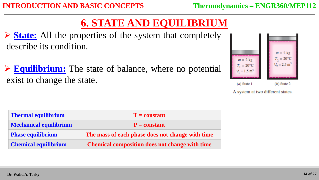# **6. STATE AND EQUILIBRIUM**

 **State:** All the properties of the system that completely describe its condition.

 **Equilibrium:** The state of balance, where no potential exist to change the state.



A system at two different states.

| <b>Thermal equilibrium</b>    | $T = constant$                                        |  |
|-------------------------------|-------------------------------------------------------|--|
| <b>Mechanical equilibrium</b> | $P = constant$                                        |  |
| <b>Phase equilibrium</b>      | The mass of each phase does not change with time      |  |
| <b>Chemical equilibrium</b>   | <b>Chemical composition does not change with time</b> |  |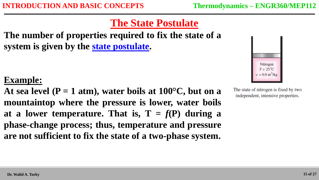# **The State Postulate**

**The number of properties required to fix the state of a system is given by the state postulate.**

## **Example:**

At sea level  $(P = 1$  atm), water boils at  $100^{\circ}C$ , but on a **mountaintop where the pressure is lower, water boils** at a lower temperature. That is,  $T = f(P)$  during a **phase-change process; thus, temperature and pressure are not sufficient to fix the state of a two-phase system.**



The state of nitrogen is fixed by two independent, intensive properties.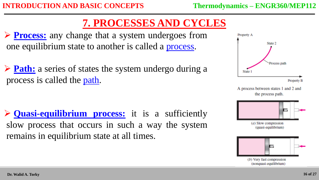# **7. PROCESSES AND CYCLES**

**Process:** any change that a system undergoes from one equilibrium state to another is called a process.

**Path:** a series of states the system undergo during a process is called the path.

 **Quasi-equilibrium process:** it is a sufficiently slow process that occurs in such a way the system remains in equilibrium state at all times.



A process between states 1 and 2 and the process path.



(a) Slow compression (quasi-equilibrium)



(b) Very fast compression (nonquasi-equilibrium)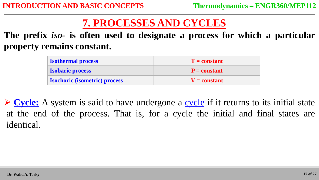# **7. PROCESSES AND CYCLES**

**The prefix** *iso-* **is often used to designate a process for which a particular property remains constant.**

| <b>Isothermal process</b>            | $T = constant$ |
|--------------------------------------|----------------|
| <b>Isobaric process</b>              | $P = constant$ |
| <b>Isochoric (isometric) process</b> | $V = constant$ |

**Cycle:** A system is said to have undergone a cycle if it returns to its initial state at the end of the process. That is, for a cycle the initial and final states are identical.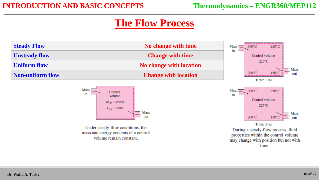# **The Flow Process**

| <b>Steady Flow</b>      | No change with time         | $Mass = i 300^{\circ}C$<br>$250^{\circ}$ C |
|-------------------------|-----------------------------|--------------------------------------------|
| <b>Unsteady flow</b>    | <b>Change with time</b>     | in<br>Control volume-                      |
| <b>Uniform flow</b>     | No change with location     | $225^{\circ}$ C                            |
| <b>Non-uniform flow</b> | <b>Change with location</b> | 200°C                                      |
|                         |                             |                                            |



Under steady-flow conditions, the mass and energy contents of a control volume remain constant.



During a steady-flow process, fluid properties within the control volume may change with position but not with time.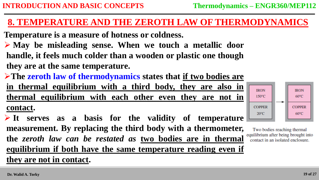#### **8. TEMPERATURE AND THE ZEROTH LAW OF THERMODYNAMICS**

- **Temperature is a measure of hotness or coldness.**
- **May be misleading sense. When we touch a metallic door handle, it feels much colder than a wooden or plastic one though they are at the same temperature.**
- **The zeroth law of thermodynamics states that if two bodies are**

**in thermal equilibrium with a third body, they are also in thermal equilibrium with each other even they are not in contact.**

 **It serves as a basis for the validity of temperature measurement. By replacing the third body with a thermometer, the** *zeroth law can be restated as* **two bodies are in thermal equilibrium if both have the same temperature reading even if they are not in contact.**



Two bodies reaching thermal equilibrium after being brought into contact in an isolated enclosure.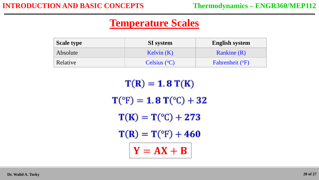# **Temperature Scales**

| <b>Scale type</b> | <b>SI</b> system | <b>English system</b> |
|-------------------|------------------|-----------------------|
| Absolute          | Kelvin $(K)$     | <b>Rankine</b> (R)    |
| Relative          | Celsius $(°C)$   | Fahrenheit (°F)       |

 $T(R) = 1.8 T(K)$  $T({}^{\circ}F) = 1.8 T({}^{\circ}C) + 32$  $T(K) = T({}^{\circ}C) + 273$  $T(R) = T({}^{\circ}F) + 460$  $Y = AX + B$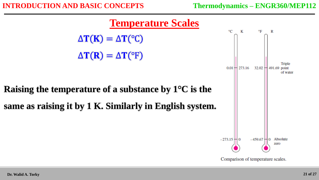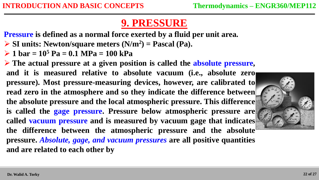# **9. PRESSURE**

**Pressure is defined as a normal force exerted by a fluid per unit area.**

- **SI units: Newton/square meters (N/m<sup>2</sup> ) = Pascal (Pa).**
- $\geq 1$  bar = 10<sup>5</sup> Pa = 0.1 MPa = 100 kPa

 **The actual pressure at a given position is called the absolute pressure, and it is measured relative to absolute vacuum (i.e., absolute zero pressure). Most pressure-measuring devices, however, are calibrated to read zero in the atmosphere and so they indicate the difference between the absolute pressure and the local atmospheric pressure. This difference is called the gage pressure. Pressure below atmospheric pressure are called vacuum pressure and is measured by vacuum gage that indicates the difference between the atmospheric pressure and the absolute pressure.** *Absolute, gage, and vacuum pressures* **are all positive quantities and are related to each other by**

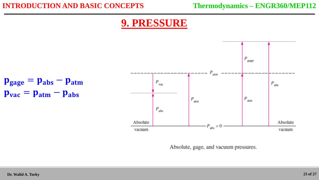#### **INTRODUCTION AND BASIC CONCEPTS Thermodynamics – ENGR360/MEP112**

# **9. PRESSURE**



Absolute, gage, and vacuum pressures.

 $$ 

 $$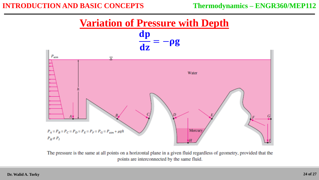#### **INTRODUCTION AND BASIC CONCEPTS Thermodynamics – ENGR360/MEP112**

**Variation of Pressure with Depth**



The pressure is the same at all points on a horizontal plane in a given fluid regardless of geometry, provided that the points are interconnected by the same fluid.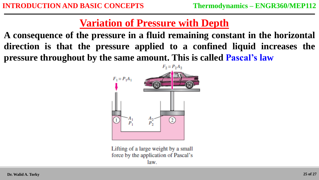# **Variation of Pressure with Depth**

**A consequence of the pressure in a fluid remaining constant in the horizontal direction is that the pressure applied to a confined liquid increases the pressure throughout by the same amount. This is called Pascal's law**



Lifting of a large weight by a small force by the application of Pascal's law.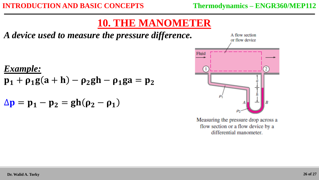# **10. THE MANOMETER**

*A device used to measure the pressure difference.*

*Example:*  $p_1 + \rho_1 g(a+h) - \rho_2 gh - \rho_1 ga = p_2$ 

$$
\Delta p = p_1 - p_2 = gh(\rho_2 - \rho_1)
$$



Measuring the pressure drop across a flow section or a flow device by a differential manometer.